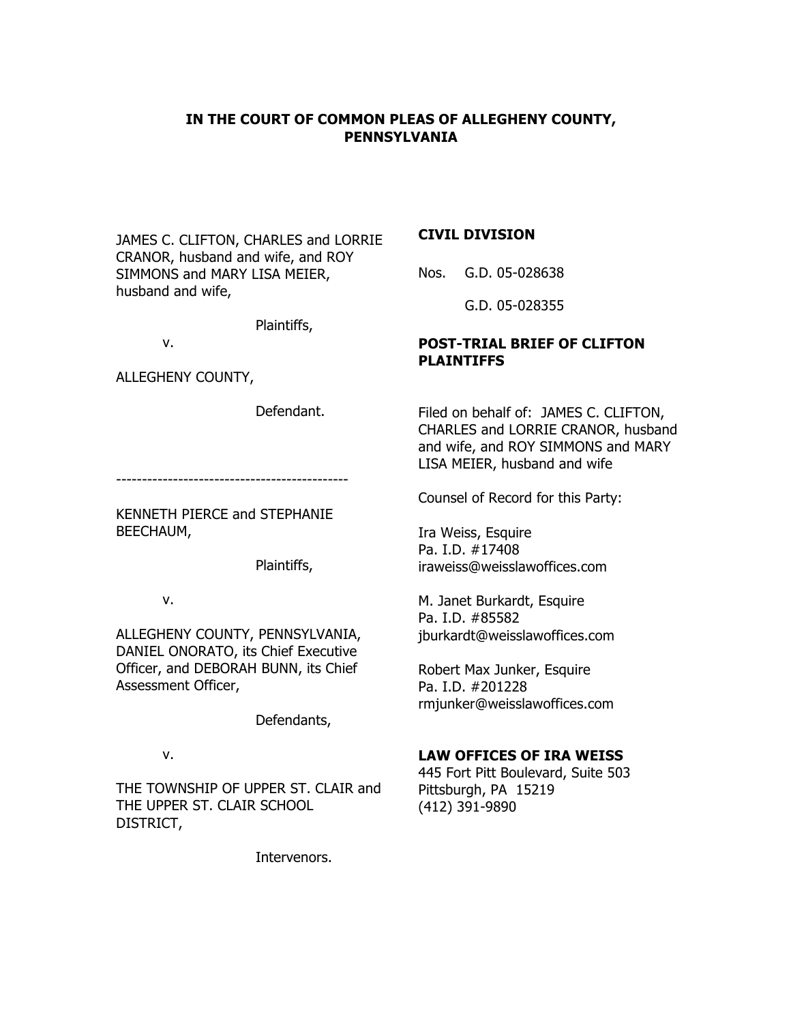# **IN THE COURT OF COMMON PLEAS OF ALLEGHENY COUNTY, PENNSYLVANIA**

JAMES C. CLIFTON, CHARLES and LORRIE CRANOR, husband and wife, and ROY SIMMONS and MARY LISA MEIER, husband and wife,

Plaintiffs,

v.

ALLEGHENY COUNTY,

Defendant.

---------------------------------------------

KENNETH PIERCE and STEPHANIE BEECHAUM,

Plaintiffs,

v.

ALLEGHENY COUNTY, PENNSYLVANIA, DANIEL ONORATO, its Chief Executive Officer, and DEBORAH BUNN, its Chief Assessment Officer,

Defendants,

v.

THE TOWNSHIP OF UPPER ST. CLAIR and THE UPPER ST. CLAIR SCHOOL DISTRICT,

Intervenors.

## **CIVIL DIVISION**

Nos. G.D. 05-028638

G.D. 05-028355

# **POST-TRIAL BRIEF OF CLIFTON PLAINTIFFS**

Filed on behalf of: JAMES C. CLIFTON, CHARLES and LORRIE CRANOR, husband and wife, and ROY SIMMONS and MARY LISA MEIER, husband and wife

Counsel of Record for this Party:

Ira Weiss, Esquire Pa. I.D. #17408 iraweiss@weisslawoffices.com

M. Janet Burkardt, Esquire Pa. I.D. #85582 jburkardt@weisslawoffices.com

Robert Max Junker, Esquire Pa. I.D. #201228 rmjunker@weisslawoffices.com

# **LAW OFFICES OF IRA WEISS**

445 Fort Pitt Boulevard, Suite 503 Pittsburgh, PA 15219 (412) 391-9890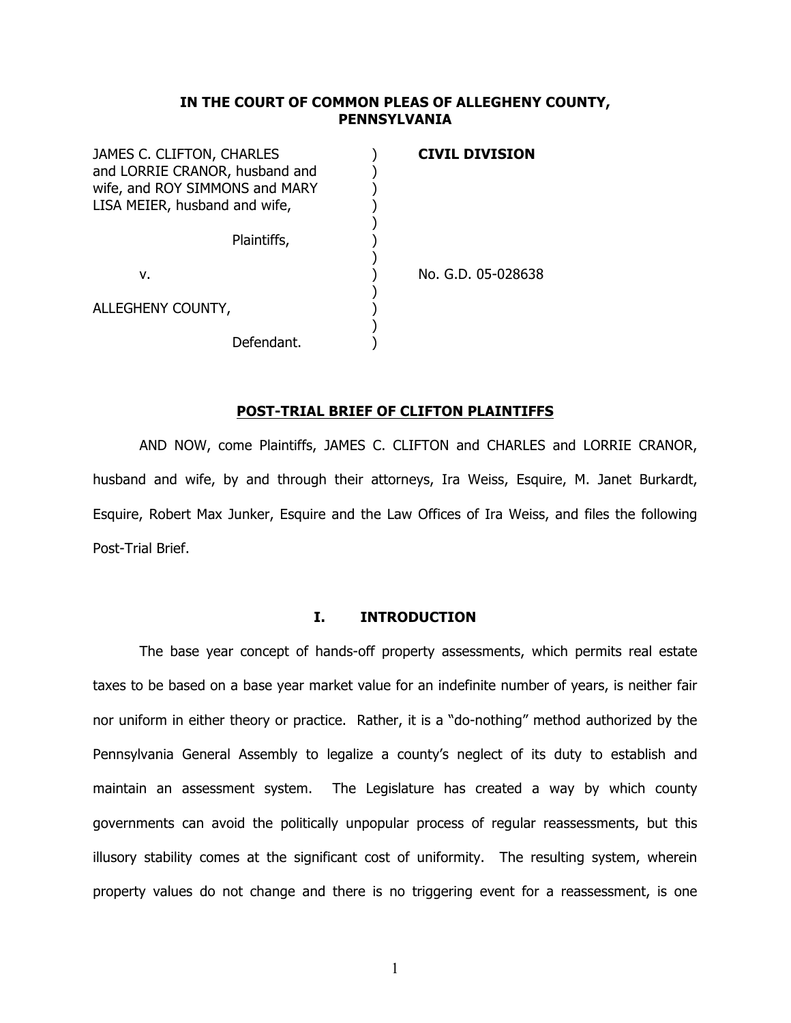## **IN THE COURT OF COMMON PLEAS OF ALLEGHENY COUNTY, PENNSYLVANIA**

| JAMES C. CLIFTON, CHARLES      | <b>CIVIL DIVISION</b> |
|--------------------------------|-----------------------|
| and LORRIE CRANOR, husband and |                       |
| wife, and ROY SIMMONS and MARY |                       |
| LISA MEIER, husband and wife,  |                       |
|                                |                       |
| Plaintiffs,                    |                       |
|                                |                       |
| ν.                             | No. G.D. 05-028638    |
|                                |                       |
| ALLEGHENY COUNTY,              |                       |
|                                |                       |
| Defendant.                     |                       |

### **POST-TRIAL BRIEF OF CLIFTON PLAINTIFFS**

AND NOW, come Plaintiffs, JAMES C. CLIFTON and CHARLES and LORRIE CRANOR, husband and wife, by and through their attorneys, Ira Weiss, Esquire, M. Janet Burkardt, Esquire, Robert Max Junker, Esquire and the Law Offices of Ira Weiss, and files the following Post-Trial Brief.

### **I. INTRODUCTION**

The base year concept of hands-off property assessments, which permits real estate taxes to be based on a base year market value for an indefinite number of years, is neither fair nor uniform in either theory or practice. Rather, it is a "do-nothing" method authorized by the Pennsylvania General Assembly to legalize a county's neglect of its duty to establish and maintain an assessment system. The Legislature has created a way by which county governments can avoid the politically unpopular process of regular reassessments, but this illusory stability comes at the significant cost of uniformity. The resulting system, wherein property values do not change and there is no triggering event for a reassessment, is one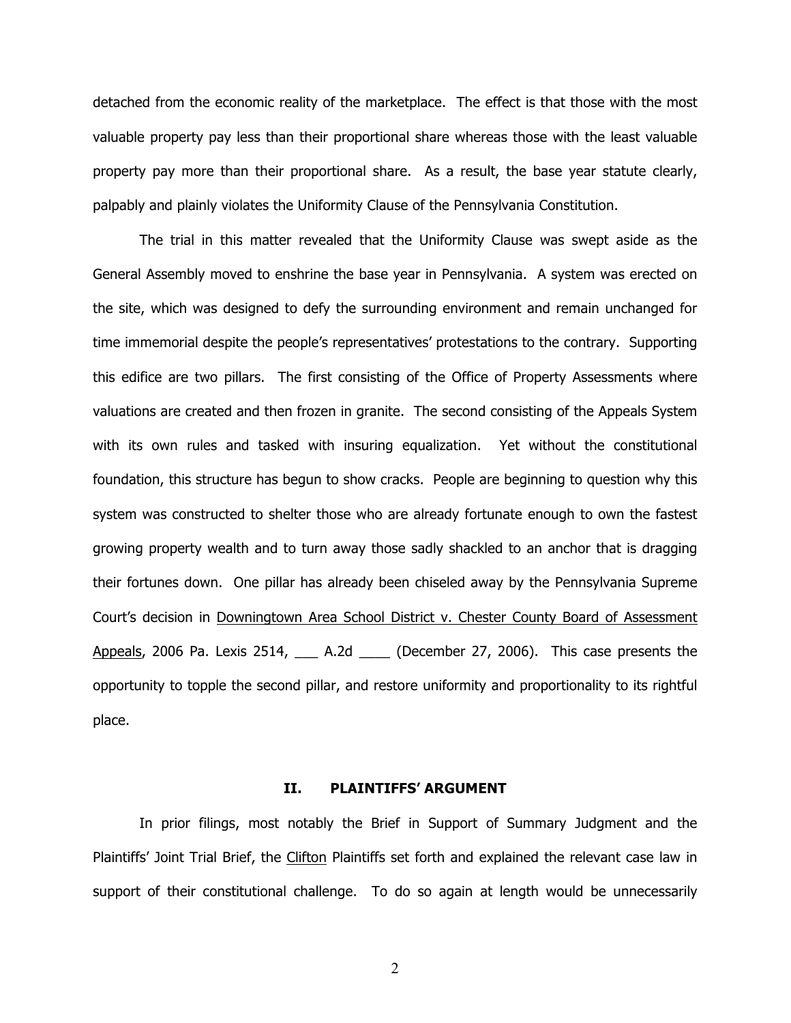detached from the economic reality of the marketplace. The effect is that those with the most valuable property pay less than their proportional share whereas those with the least valuable property pay more than their proportional share. As a result, the base year statute clearly, palpably and plainly violates the Uniformity Clause of the Pennsylvania Constitution.

The trial in this matter revealed that the Uniformity Clause was swept aside as the General Assembly moved to enshrine the base year in Pennsylvania. A system was erected on the site, which was designed to defy the surrounding environment and remain unchanged for time immemorial despite the people's representatives' protestations to the contrary. Supporting this edifice are two pillars. The first consisting of the Office of Property Assessments where valuations are created and then frozen in granite. The second consisting of the Appeals System with its own rules and tasked with insuring equalization. Yet without the constitutional foundation, this structure has begun to show cracks. People are beginning to question why this system was constructed to shelter those who are already fortunate enough to own the fastest growing property wealth and to turn away those sadly shackled to an anchor that is dragging their fortunes down. One pillar has already been chiseled away by the Pennsylvania Supreme Court's decision in Downingtown Area School District v. Chester County Board of Assessment Appeals, 2006 Pa. Lexis 2514, \_\_\_ A.2d \_\_\_\_ (December 27, 2006). This case presents the opportunity to topple the second pillar, and restore uniformity and proportionality to its rightful place.

# **II. PLAINTIFFS' ARGUMENT**

In prior filings, most notably the Brief in Support of Summary Judgment and the Plaintiffs' Joint Trial Brief, the Clifton Plaintiffs set forth and explained the relevant case law in support of their constitutional challenge. To do so again at length would be unnecessarily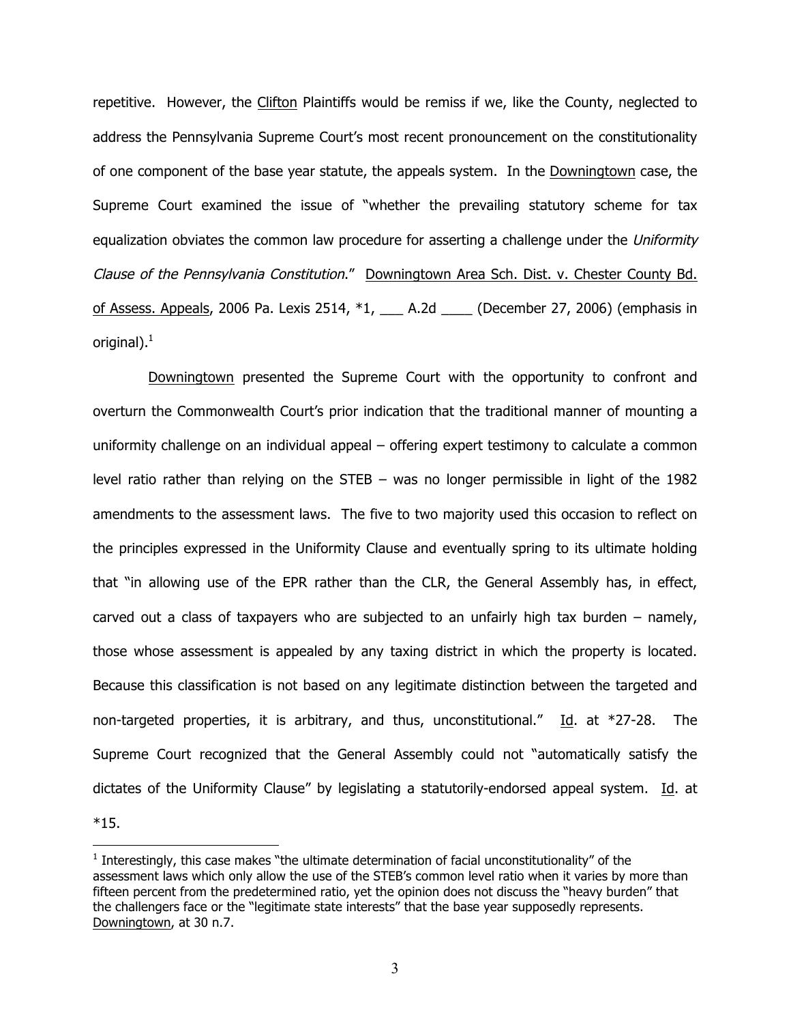repetitive. However, the Clifton Plaintiffs would be remiss if we, like the County, neglected to address the Pennsylvania Supreme Court's most recent pronouncement on the constitutionality of one component of the base year statute, the appeals system. In the Downingtown case, the Supreme Court examined the issue of "whether the prevailing statutory scheme for tax equalization obviates the common law procedure for asserting a challenge under the Uniformity Clause of the Pennsylvania Constitution." Downingtown Area Sch. Dist. v. Chester County Bd. of Assess. Appeals, 2006 Pa. Lexis 2514,  $*1$ , \_\_\_ A.2d \_\_\_\_ (December 27, 2006) (emphasis in original). $<sup>1</sup>$ </sup>

Downingtown presented the Supreme Court with the opportunity to confront and overturn the Commonwealth Court's prior indication that the traditional manner of mounting a uniformity challenge on an individual appeal – offering expert testimony to calculate a common level ratio rather than relying on the STEB – was no longer permissible in light of the 1982 amendments to the assessment laws. The five to two majority used this occasion to reflect on the principles expressed in the Uniformity Clause and eventually spring to its ultimate holding that "in allowing use of the EPR rather than the CLR, the General Assembly has, in effect, carved out a class of taxpayers who are subjected to an unfairly high tax burden – namely, those whose assessment is appealed by any taxing district in which the property is located. Because this classification is not based on any legitimate distinction between the targeted and non-targeted properties, it is arbitrary, and thus, unconstitutional." Id. at \*27-28. The Supreme Court recognized that the General Assembly could not "automatically satisfy the dictates of the Uniformity Clause" by legislating a statutorily-endorsed appeal system. Id. at \*15.

 $\overline{a}$ 

 $<sup>1</sup>$  Interestingly, this case makes "the ultimate determination of facial unconstitutionality" of the</sup> assessment laws which only allow the use of the STEB's common level ratio when it varies by more than fifteen percent from the predetermined ratio, yet the opinion does not discuss the "heavy burden" that the challengers face or the "legitimate state interests" that the base year supposedly represents. Downingtown, at 30 n.7.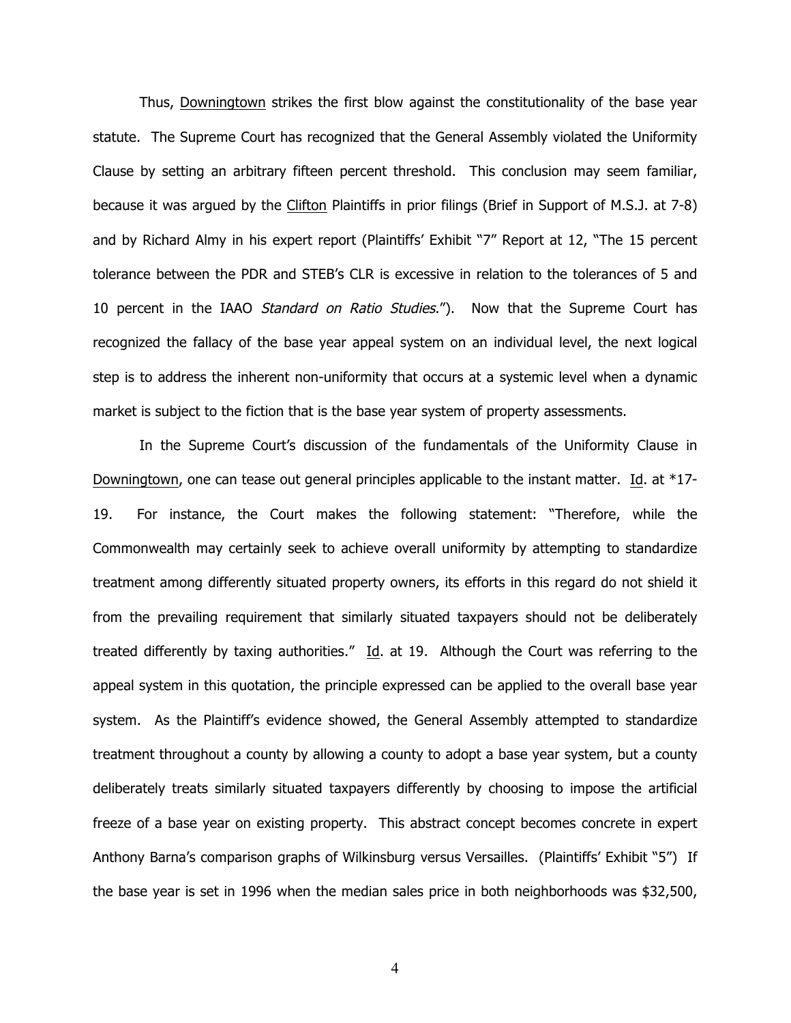Thus, Downingtown strikes the first blow against the constitutionality of the base year statute. The Supreme Court has recognized that the General Assembly violated the Uniformity Clause by setting an arbitrary fifteen percent threshold. This conclusion may seem familiar, because it was argued by the Clifton Plaintiffs in prior filings (Brief in Support of M.S.J. at 7-8) and by Richard Almy in his expert report (Plaintiffs' Exhibit "7" Report at 12, "The 15 percent tolerance between the PDR and STEB's CLR is excessive in relation to the tolerances of 5 and 10 percent in the IAAO Standard on Ratio Studies."). Now that the Supreme Court has recognized the fallacy of the base year appeal system on an individual level, the next logical step is to address the inherent non-uniformity that occurs at a systemic level when a dynamic market is subject to the fiction that is the base year system of property assessments.

 In the Supreme Court's discussion of the fundamentals of the Uniformity Clause in Downingtown, one can tease out general principles applicable to the instant matter. Id. at \*17- 19. For instance, the Court makes the following statement: "Therefore, while the Commonwealth may certainly seek to achieve overall uniformity by attempting to standardize treatment among differently situated property owners, its efforts in this regard do not shield it from the prevailing requirement that similarly situated taxpayers should not be deliberately treated differently by taxing authorities." Id. at 19. Although the Court was referring to the appeal system in this quotation, the principle expressed can be applied to the overall base year system. As the Plaintiff's evidence showed, the General Assembly attempted to standardize treatment throughout a county by allowing a county to adopt a base year system, but a county deliberately treats similarly situated taxpayers differently by choosing to impose the artificial freeze of a base year on existing property. This abstract concept becomes concrete in expert Anthony Barna's comparison graphs of Wilkinsburg versus Versailles. (Plaintiffs' Exhibit "5") If the base year is set in 1996 when the median sales price in both neighborhoods was \$32,500,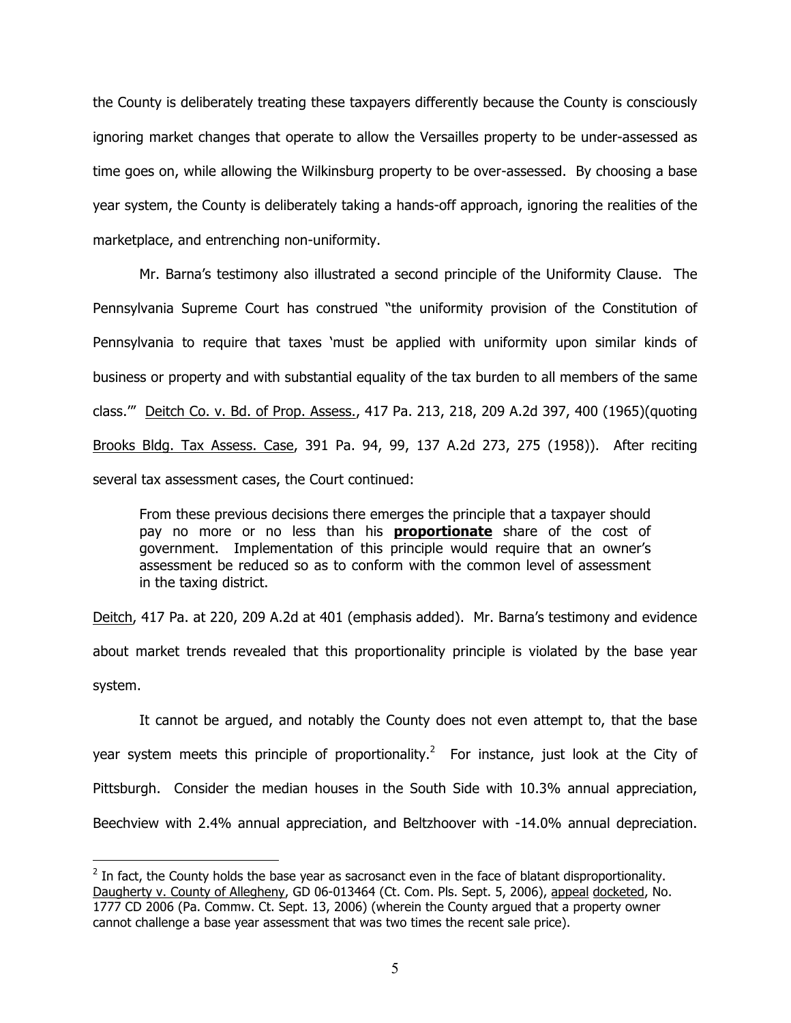the County is deliberately treating these taxpayers differently because the County is consciously ignoring market changes that operate to allow the Versailles property to be under-assessed as time goes on, while allowing the Wilkinsburg property to be over-assessed. By choosing a base year system, the County is deliberately taking a hands-off approach, ignoring the realities of the marketplace, and entrenching non-uniformity.

Mr. Barna's testimony also illustrated a second principle of the Uniformity Clause. The Pennsylvania Supreme Court has construed "the uniformity provision of the Constitution of Pennsylvania to require that taxes 'must be applied with uniformity upon similar kinds of business or property and with substantial equality of the tax burden to all members of the same class.'" Deitch Co. v. Bd. of Prop. Assess., 417 Pa. 213, 218, 209 A.2d 397, 400 (1965)(quoting Brooks Bldg. Tax Assess. Case, 391 Pa. 94, 99, 137 A.2d 273, 275 (1958)). After reciting several tax assessment cases, the Court continued:

From these previous decisions there emerges the principle that a taxpayer should pay no more or no less than his **proportionate** share of the cost of government. Implementation of this principle would require that an owner's assessment be reduced so as to conform with the common level of assessment in the taxing district.

Deitch, 417 Pa. at 220, 209 A.2d at 401 (emphasis added). Mr. Barna's testimony and evidence about market trends revealed that this proportionality principle is violated by the base year system.

It cannot be argued, and notably the County does not even attempt to, that the base year system meets this principle of proportionality.<sup>2</sup> For instance, just look at the City of Pittsburgh. Consider the median houses in the South Side with 10.3% annual appreciation, Beechview with 2.4% annual appreciation, and Beltzhoover with -14.0% annual depreciation.

 $\overline{a}$ 

 $<sup>2</sup>$  In fact, the County holds the base year as sacrosanct even in the face of blatant disproportionality.</sup> Daugherty v. County of Allegheny, GD 06-013464 (Ct. Com. Pls. Sept. 5, 2006), appeal docketed, No. 1777 CD 2006 (Pa. Commw. Ct. Sept. 13, 2006) (wherein the County argued that a property owner cannot challenge a base year assessment that was two times the recent sale price).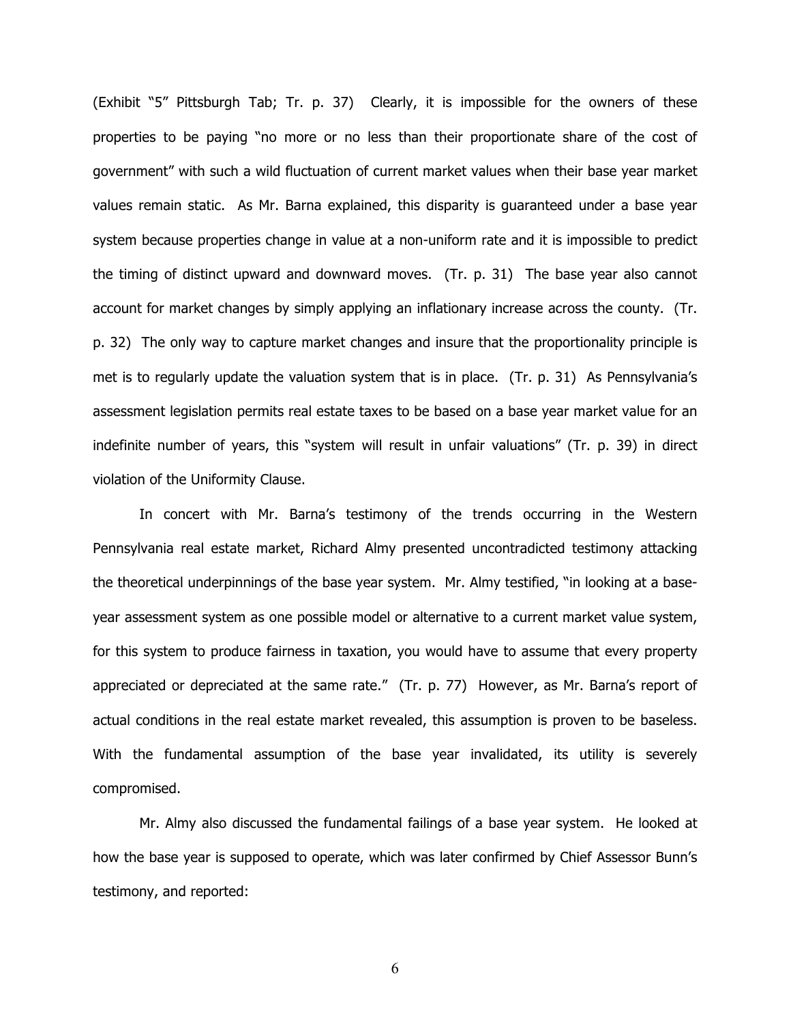(Exhibit "5" Pittsburgh Tab; Tr. p. 37) Clearly, it is impossible for the owners of these properties to be paying "no more or no less than their proportionate share of the cost of government" with such a wild fluctuation of current market values when their base year market values remain static. As Mr. Barna explained, this disparity is guaranteed under a base year system because properties change in value at a non-uniform rate and it is impossible to predict the timing of distinct upward and downward moves. (Tr. p. 31) The base year also cannot account for market changes by simply applying an inflationary increase across the county. (Tr. p. 32) The only way to capture market changes and insure that the proportionality principle is met is to regularly update the valuation system that is in place. (Tr. p. 31) As Pennsylvania's assessment legislation permits real estate taxes to be based on a base year market value for an indefinite number of years, this "system will result in unfair valuations" (Tr. p. 39) in direct violation of the Uniformity Clause.

In concert with Mr. Barna's testimony of the trends occurring in the Western Pennsylvania real estate market, Richard Almy presented uncontradicted testimony attacking the theoretical underpinnings of the base year system. Mr. Almy testified, "in looking at a baseyear assessment system as one possible model or alternative to a current market value system, for this system to produce fairness in taxation, you would have to assume that every property appreciated or depreciated at the same rate." (Tr. p. 77) However, as Mr. Barna's report of actual conditions in the real estate market revealed, this assumption is proven to be baseless. With the fundamental assumption of the base year invalidated, its utility is severely compromised.

Mr. Almy also discussed the fundamental failings of a base year system. He looked at how the base year is supposed to operate, which was later confirmed by Chief Assessor Bunn's testimony, and reported: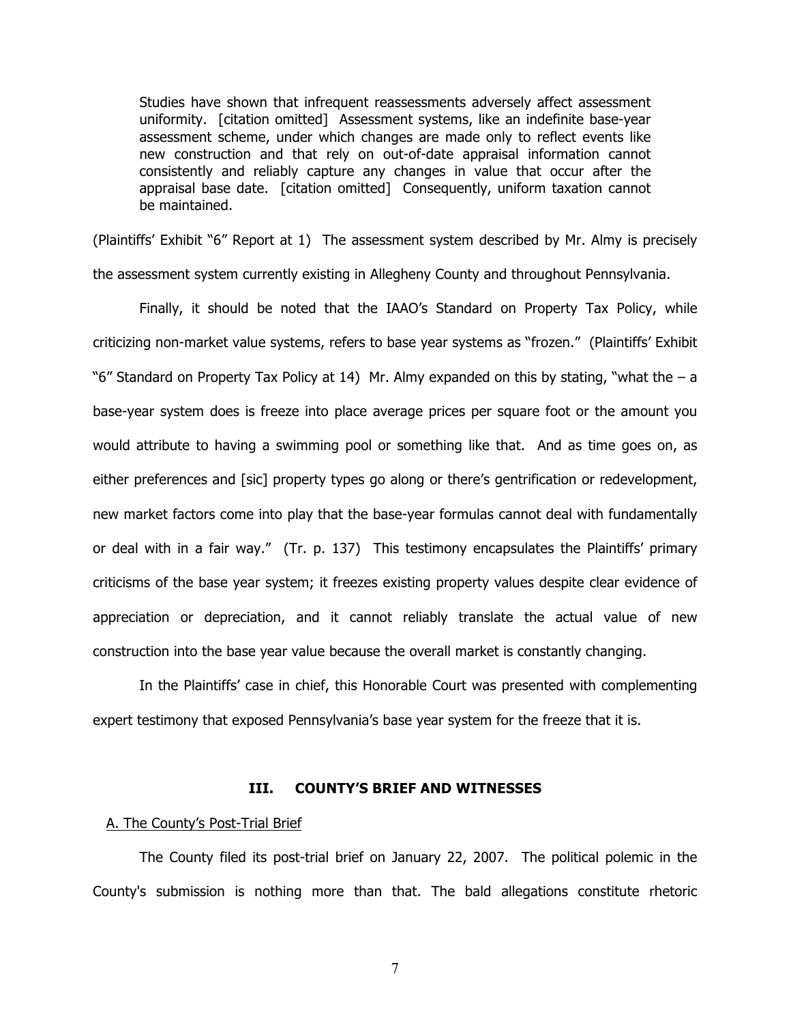Studies have shown that infrequent reassessments adversely affect assessment uniformity. [citation omitted] Assessment systems, like an indefinite base-year assessment scheme, under which changes are made only to reflect events like new construction and that rely on out-of-date appraisal information cannot consistently and reliably capture any changes in value that occur after the appraisal base date. [citation omitted] Consequently, uniform taxation cannot be maintained.

(Plaintiffs' Exhibit "6" Report at 1) The assessment system described by Mr. Almy is precisely the assessment system currently existing in Allegheny County and throughout Pennsylvania.

Finally, it should be noted that the IAAO's Standard on Property Tax Policy, while criticizing non-market value systems, refers to base year systems as "frozen." (Plaintiffs' Exhibit "6" Standard on Property Tax Policy at 14) Mr. Almy expanded on this by stating, "what the  $-$  a base-year system does is freeze into place average prices per square foot or the amount you would attribute to having a swimming pool or something like that. And as time goes on, as either preferences and [sic] property types go along or there's gentrification or redevelopment, new market factors come into play that the base-year formulas cannot deal with fundamentally or deal with in a fair way." (Tr. p. 137) This testimony encapsulates the Plaintiffs' primary criticisms of the base year system; it freezes existing property values despite clear evidence of appreciation or depreciation, and it cannot reliably translate the actual value of new construction into the base year value because the overall market is constantly changing.

In the Plaintiffs' case in chief, this Honorable Court was presented with complementing expert testimony that exposed Pennsylvania's base year system for the freeze that it is.

### **III. COUNTY'S BRIEF AND WITNESSES**

### A. The County's Post-Trial Brief

The County filed its post-trial brief on January 22, 2007. The political polemic in the County's submission is nothing more than that. The bald allegations constitute rhetoric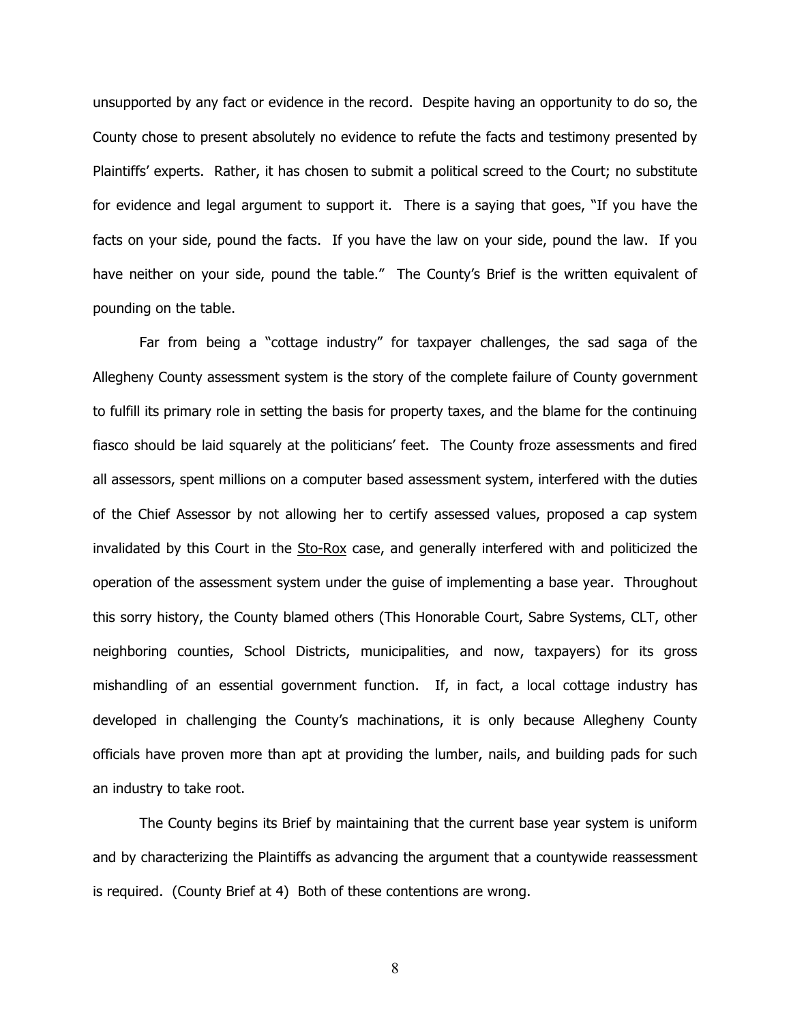unsupported by any fact or evidence in the record. Despite having an opportunity to do so, the County chose to present absolutely no evidence to refute the facts and testimony presented by Plaintiffs' experts. Rather, it has chosen to submit a political screed to the Court; no substitute for evidence and legal argument to support it. There is a saying that goes, "If you have the facts on your side, pound the facts. If you have the law on your side, pound the law. If you have neither on your side, pound the table." The County's Brief is the written equivalent of pounding on the table.

Far from being a "cottage industry" for taxpayer challenges, the sad saga of the Allegheny County assessment system is the story of the complete failure of County government to fulfill its primary role in setting the basis for property taxes, and the blame for the continuing fiasco should be laid squarely at the politicians' feet. The County froze assessments and fired all assessors, spent millions on a computer based assessment system, interfered with the duties of the Chief Assessor by not allowing her to certify assessed values, proposed a cap system invalidated by this Court in the Sto-Rox case, and generally interfered with and politicized the operation of the assessment system under the guise of implementing a base year. Throughout this sorry history, the County blamed others (This Honorable Court, Sabre Systems, CLT, other neighboring counties, School Districts, municipalities, and now, taxpayers) for its gross mishandling of an essential government function. If, in fact, a local cottage industry has developed in challenging the County's machinations, it is only because Allegheny County officials have proven more than apt at providing the lumber, nails, and building pads for such an industry to take root.

The County begins its Brief by maintaining that the current base year system is uniform and by characterizing the Plaintiffs as advancing the argument that a countywide reassessment is required. (County Brief at 4) Both of these contentions are wrong.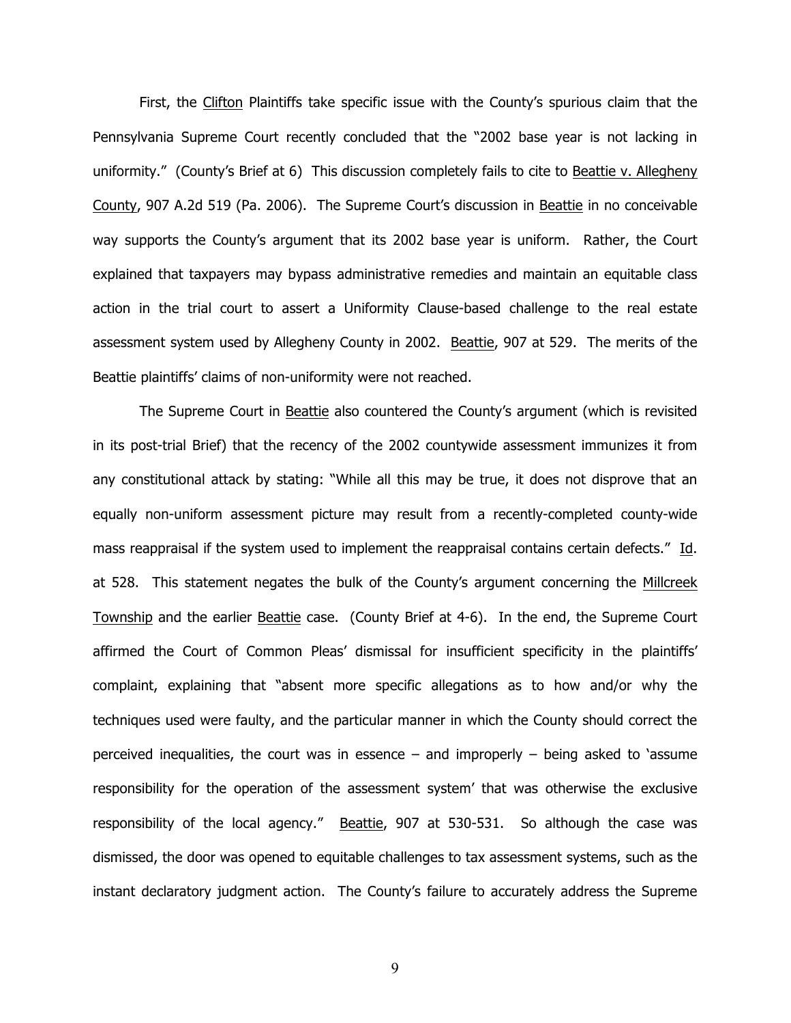First, the Clifton Plaintiffs take specific issue with the County's spurious claim that the Pennsylvania Supreme Court recently concluded that the "2002 base year is not lacking in uniformity." (County's Brief at 6) This discussion completely fails to cite to Beattie v. Allegheny County, 907 A.2d 519 (Pa. 2006). The Supreme Court's discussion in Beattie in no conceivable way supports the County's argument that its 2002 base year is uniform. Rather, the Court explained that taxpayers may bypass administrative remedies and maintain an equitable class action in the trial court to assert a Uniformity Clause-based challenge to the real estate assessment system used by Allegheny County in 2002. Beattie, 907 at 529. The merits of the Beattie plaintiffs' claims of non-uniformity were not reached.

The Supreme Court in Beattie also countered the County's argument (which is revisited in its post-trial Brief) that the recency of the 2002 countywide assessment immunizes it from any constitutional attack by stating: "While all this may be true, it does not disprove that an equally non-uniform assessment picture may result from a recently-completed county-wide mass reappraisal if the system used to implement the reappraisal contains certain defects." Id. at 528. This statement negates the bulk of the County's argument concerning the Millcreek Township and the earlier Beattie case. (County Brief at 4-6). In the end, the Supreme Court affirmed the Court of Common Pleas' dismissal for insufficient specificity in the plaintiffs' complaint, explaining that "absent more specific allegations as to how and/or why the techniques used were faulty, and the particular manner in which the County should correct the perceived inequalities, the court was in essence – and improperly – being asked to 'assume responsibility for the operation of the assessment system' that was otherwise the exclusive responsibility of the local agency." Beattie, 907 at 530-531. So although the case was dismissed, the door was opened to equitable challenges to tax assessment systems, such as the instant declaratory judgment action. The County's failure to accurately address the Supreme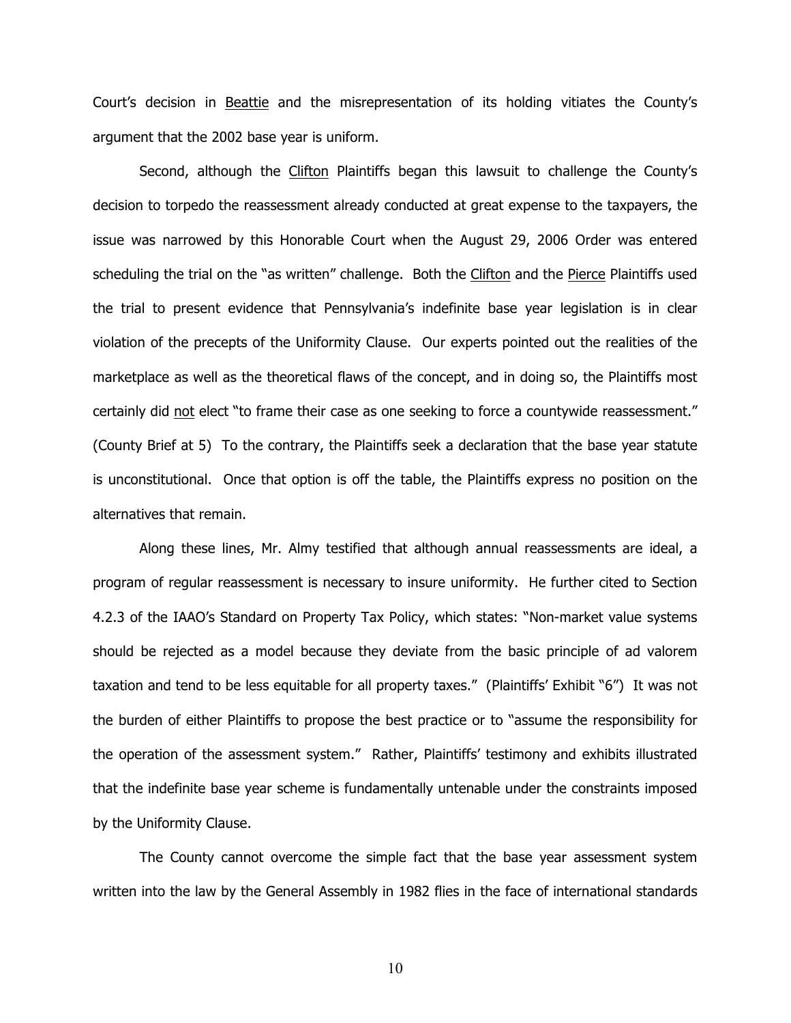Court's decision in Beattie and the misrepresentation of its holding vitiates the County's argument that the 2002 base year is uniform.

Second, although the Clifton Plaintiffs began this lawsuit to challenge the County's decision to torpedo the reassessment already conducted at great expense to the taxpayers, the issue was narrowed by this Honorable Court when the August 29, 2006 Order was entered scheduling the trial on the "as written" challenge. Both the Clifton and the Pierce Plaintiffs used the trial to present evidence that Pennsylvania's indefinite base year legislation is in clear violation of the precepts of the Uniformity Clause. Our experts pointed out the realities of the marketplace as well as the theoretical flaws of the concept, and in doing so, the Plaintiffs most certainly did not elect "to frame their case as one seeking to force a countywide reassessment." (County Brief at 5) To the contrary, the Plaintiffs seek a declaration that the base year statute is unconstitutional. Once that option is off the table, the Plaintiffs express no position on the alternatives that remain.

Along these lines, Mr. Almy testified that although annual reassessments are ideal, a program of regular reassessment is necessary to insure uniformity. He further cited to Section 4.2.3 of the IAAO's Standard on Property Tax Policy, which states: "Non-market value systems should be rejected as a model because they deviate from the basic principle of ad valorem taxation and tend to be less equitable for all property taxes." (Plaintiffs' Exhibit "6") It was not the burden of either Plaintiffs to propose the best practice or to "assume the responsibility for the operation of the assessment system." Rather, Plaintiffs' testimony and exhibits illustrated that the indefinite base year scheme is fundamentally untenable under the constraints imposed by the Uniformity Clause.

The County cannot overcome the simple fact that the base year assessment system written into the law by the General Assembly in 1982 flies in the face of international standards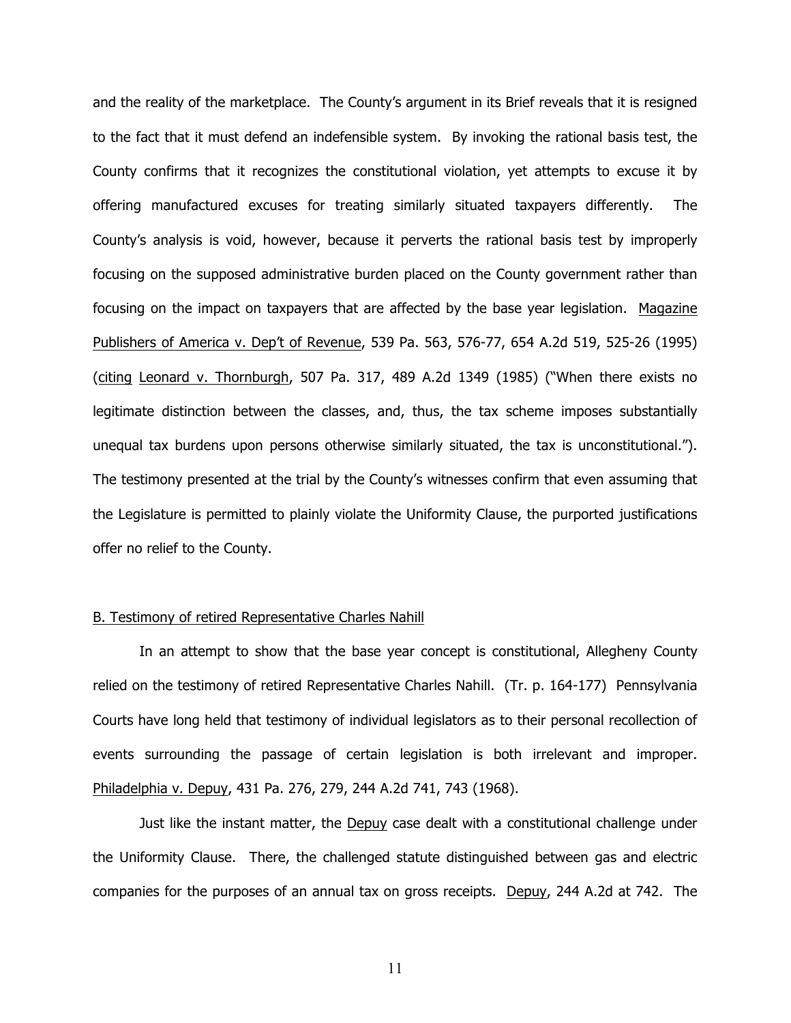and the reality of the marketplace. The County's argument in its Brief reveals that it is resigned to the fact that it must defend an indefensible system. By invoking the rational basis test, the County confirms that it recognizes the constitutional violation, yet attempts to excuse it by offering manufactured excuses for treating similarly situated taxpayers differently. The County's analysis is void, however, because it perverts the rational basis test by improperly focusing on the supposed administrative burden placed on the County government rather than focusing on the impact on taxpayers that are affected by the base year legislation. Magazine Publishers of America v. Dep't of Revenue, 539 Pa. 563, 576-77, 654 A.2d 519, 525-26 (1995) (citing Leonard v. Thornburgh, 507 Pa. 317, 489 A.2d 1349 (1985) ("When there exists no legitimate distinction between the classes, and, thus, the tax scheme imposes substantially unequal tax burdens upon persons otherwise similarly situated, the tax is unconstitutional."). The testimony presented at the trial by the County's witnesses confirm that even assuming that the Legislature is permitted to plainly violate the Uniformity Clause, the purported justifications offer no relief to the County.

### B. Testimony of retired Representative Charles Nahill

In an attempt to show that the base year concept is constitutional, Allegheny County relied on the testimony of retired Representative Charles Nahill. (Tr. p. 164-177) Pennsylvania Courts have long held that testimony of individual legislators as to their personal recollection of events surrounding the passage of certain legislation is both irrelevant and improper. Philadelphia v. Depuy, 431 Pa. 276, 279, 244 A.2d 741, 743 (1968).

Just like the instant matter, the Depuy case dealt with a constitutional challenge under the Uniformity Clause. There, the challenged statute distinguished between gas and electric companies for the purposes of an annual tax on gross receipts. Depuy, 244 A.2d at 742. The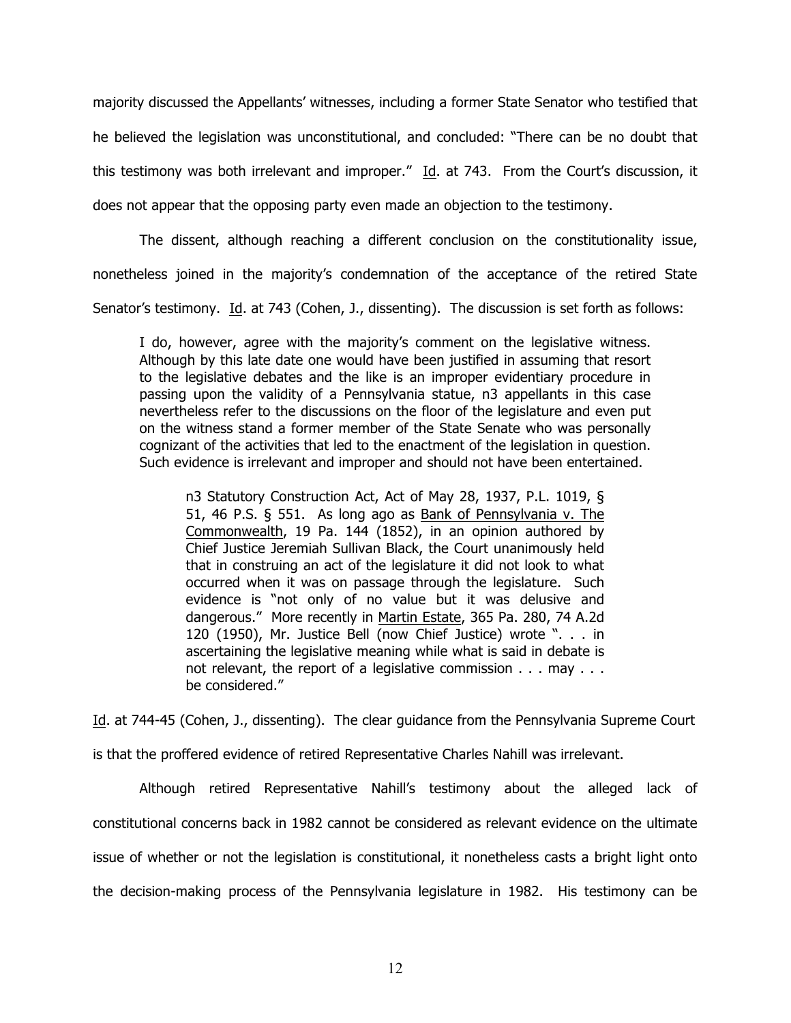majority discussed the Appellants' witnesses, including a former State Senator who testified that he believed the legislation was unconstitutional, and concluded: "There can be no doubt that this testimony was both irrelevant and improper." Id. at 743. From the Court's discussion, it does not appear that the opposing party even made an objection to the testimony.

The dissent, although reaching a different conclusion on the constitutionality issue, nonetheless joined in the majority's condemnation of the acceptance of the retired State

Senator's testimony. Id. at 743 (Cohen, J., dissenting). The discussion is set forth as follows:

I do, however, agree with the majority's comment on the legislative witness. Although by this late date one would have been justified in assuming that resort to the legislative debates and the like is an improper evidentiary procedure in passing upon the validity of a Pennsylvania statue, n3 appellants in this case nevertheless refer to the discussions on the floor of the legislature and even put on the witness stand a former member of the State Senate who was personally cognizant of the activities that led to the enactment of the legislation in question. Such evidence is irrelevant and improper and should not have been entertained.

n3 Statutory Construction Act, Act of May 28, 1937, P.L. 1019, § 51, 46 P.S. § 551. As long ago as Bank of Pennsylvania v. The Commonwealth, 19 Pa. 144 (1852), in an opinion authored by Chief Justice Jeremiah Sullivan Black, the Court unanimously held that in construing an act of the legislature it did not look to what occurred when it was on passage through the legislature. Such evidence is "not only of no value but it was delusive and dangerous." More recently in Martin Estate, 365 Pa. 280, 74 A.2d 120 (1950), Mr. Justice Bell (now Chief Justice) wrote ". . . in ascertaining the legislative meaning while what is said in debate is not relevant, the report of a legislative commission . . . may . . . be considered."

Id. at 744-45 (Cohen, J., dissenting). The clear guidance from the Pennsylvania Supreme Court is that the proffered evidence of retired Representative Charles Nahill was irrelevant.

Although retired Representative Nahill's testimony about the alleged lack of constitutional concerns back in 1982 cannot be considered as relevant evidence on the ultimate issue of whether or not the legislation is constitutional, it nonetheless casts a bright light onto the decision-making process of the Pennsylvania legislature in 1982. His testimony can be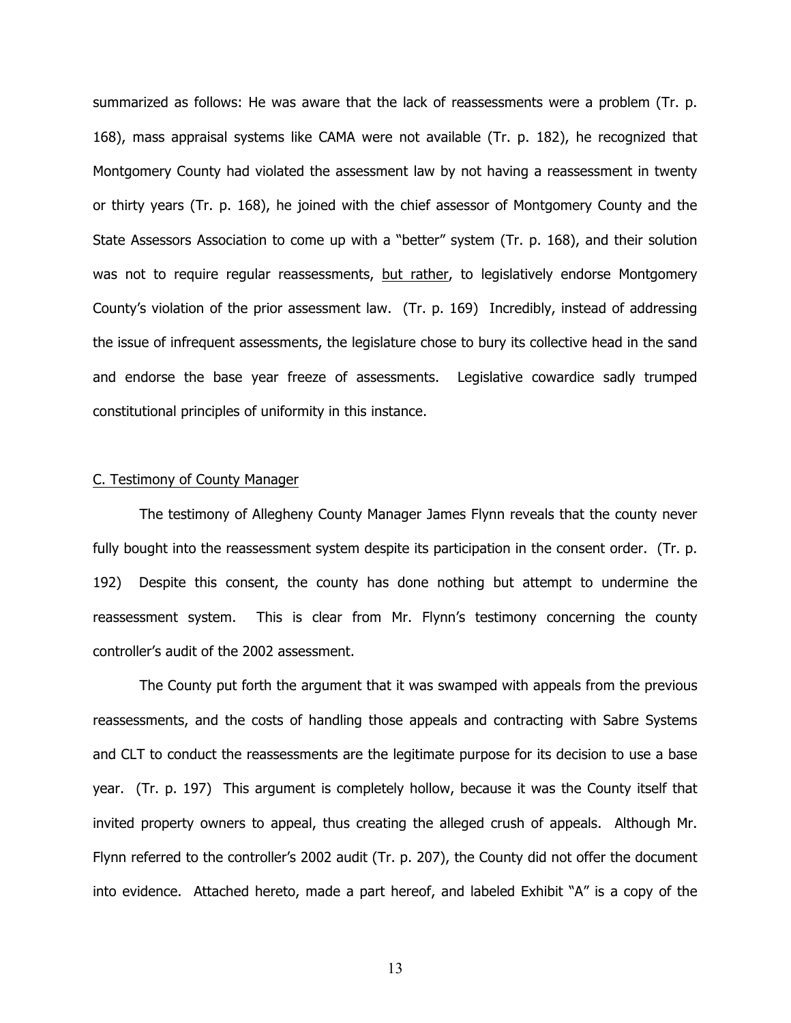summarized as follows: He was aware that the lack of reassessments were a problem (Tr. p. 168), mass appraisal systems like CAMA were not available (Tr. p. 182), he recognized that Montgomery County had violated the assessment law by not having a reassessment in twenty or thirty years (Tr. p. 168), he joined with the chief assessor of Montgomery County and the State Assessors Association to come up with a "better" system (Tr. p. 168), and their solution was not to require regular reassessments, but rather, to legislatively endorse Montgomery County's violation of the prior assessment law. (Tr. p. 169) Incredibly, instead of addressing the issue of infrequent assessments, the legislature chose to bury its collective head in the sand and endorse the base year freeze of assessments. Legislative cowardice sadly trumped constitutional principles of uniformity in this instance.

### C. Testimony of County Manager

The testimony of Allegheny County Manager James Flynn reveals that the county never fully bought into the reassessment system despite its participation in the consent order. (Tr. p. 192) Despite this consent, the county has done nothing but attempt to undermine the reassessment system. This is clear from Mr. Flynn's testimony concerning the county controller's audit of the 2002 assessment.

The County put forth the argument that it was swamped with appeals from the previous reassessments, and the costs of handling those appeals and contracting with Sabre Systems and CLT to conduct the reassessments are the legitimate purpose for its decision to use a base year. (Tr. p. 197) This argument is completely hollow, because it was the County itself that invited property owners to appeal, thus creating the alleged crush of appeals. Although Mr. Flynn referred to the controller's 2002 audit (Tr. p. 207), the County did not offer the document into evidence. Attached hereto, made a part hereof, and labeled Exhibit "A" is a copy of the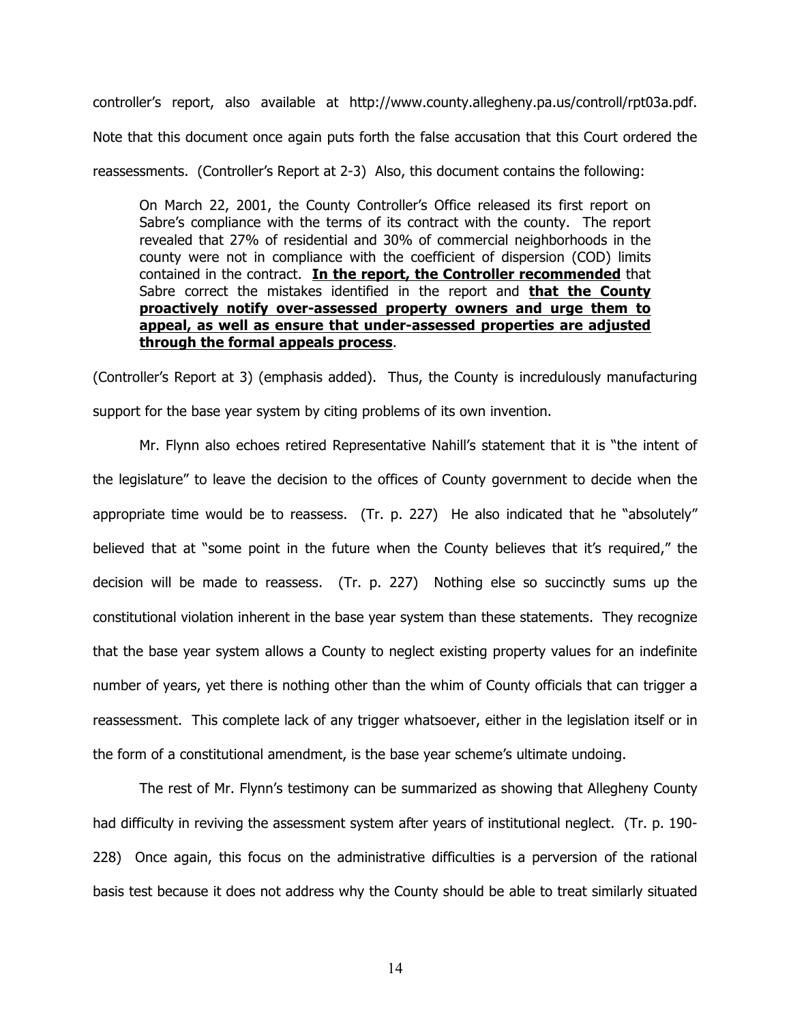controller's report, also available at http://www.county.allegheny.pa.us/controll/rpt03a.pdf. Note that this document once again puts forth the false accusation that this Court ordered the reassessments. (Controller's Report at 2-3) Also, this document contains the following:

On March 22, 2001, the County Controller's Office released its first report on Sabre's compliance with the terms of its contract with the county. The report revealed that 27% of residential and 30% of commercial neighborhoods in the county were not in compliance with the coefficient of dispersion (COD) limits contained in the contract. **In the report, the Controller recommended** that Sabre correct the mistakes identified in the report and **that the County proactively notify over-assessed property owners and urge them to appeal, as well as ensure that under-assessed properties are adjusted through the formal appeals process**.

(Controller's Report at 3) (emphasis added). Thus, the County is incredulously manufacturing support for the base year system by citing problems of its own invention.

Mr. Flynn also echoes retired Representative Nahill's statement that it is "the intent of the legislature" to leave the decision to the offices of County government to decide when the appropriate time would be to reassess. (Tr. p. 227) He also indicated that he "absolutely" believed that at "some point in the future when the County believes that it's required," the decision will be made to reassess. (Tr. p. 227) Nothing else so succinctly sums up the constitutional violation inherent in the base year system than these statements. They recognize that the base year system allows a County to neglect existing property values for an indefinite number of years, yet there is nothing other than the whim of County officials that can trigger a reassessment. This complete lack of any trigger whatsoever, either in the legislation itself or in the form of a constitutional amendment, is the base year scheme's ultimate undoing.

The rest of Mr. Flynn's testimony can be summarized as showing that Allegheny County had difficulty in reviving the assessment system after years of institutional neglect. (Tr. p. 190- 228) Once again, this focus on the administrative difficulties is a perversion of the rational basis test because it does not address why the County should be able to treat similarly situated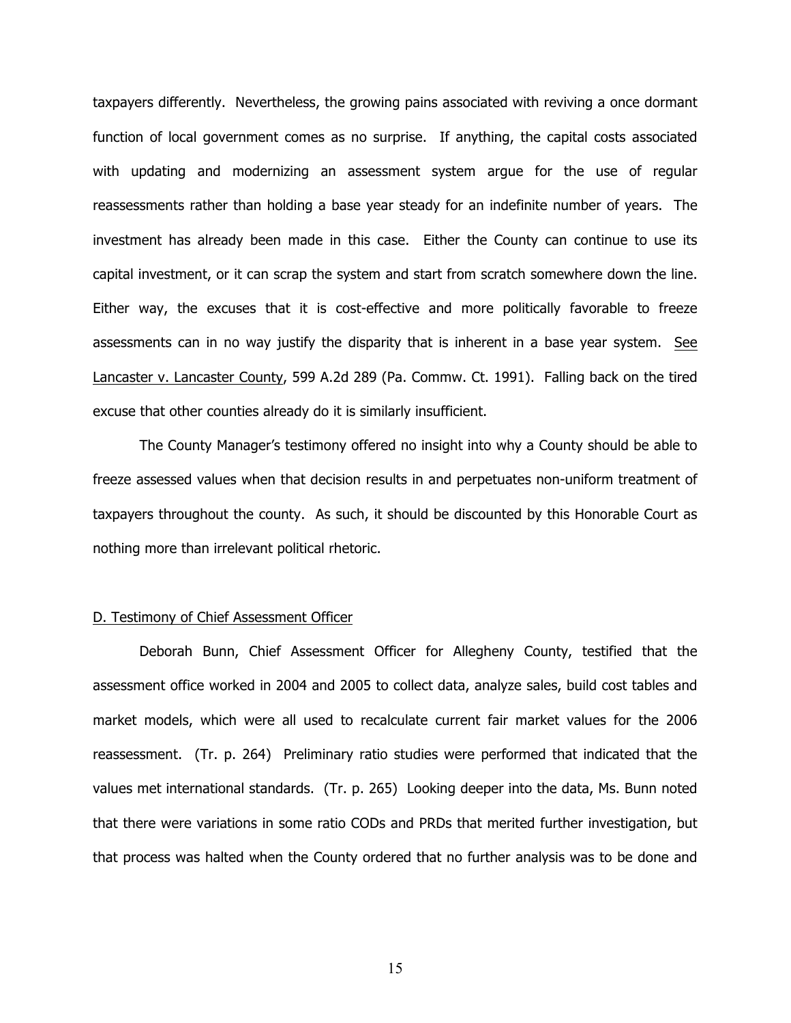taxpayers differently. Nevertheless, the growing pains associated with reviving a once dormant function of local government comes as no surprise. If anything, the capital costs associated with updating and modernizing an assessment system argue for the use of regular reassessments rather than holding a base year steady for an indefinite number of years. The investment has already been made in this case. Either the County can continue to use its capital investment, or it can scrap the system and start from scratch somewhere down the line. Either way, the excuses that it is cost-effective and more politically favorable to freeze assessments can in no way justify the disparity that is inherent in a base year system. See Lancaster v. Lancaster County, 599 A.2d 289 (Pa. Commw. Ct. 1991). Falling back on the tired excuse that other counties already do it is similarly insufficient.

The County Manager's testimony offered no insight into why a County should be able to freeze assessed values when that decision results in and perpetuates non-uniform treatment of taxpayers throughout the county. As such, it should be discounted by this Honorable Court as nothing more than irrelevant political rhetoric.

### D. Testimony of Chief Assessment Officer

Deborah Bunn, Chief Assessment Officer for Allegheny County, testified that the assessment office worked in 2004 and 2005 to collect data, analyze sales, build cost tables and market models, which were all used to recalculate current fair market values for the 2006 reassessment. (Tr. p. 264) Preliminary ratio studies were performed that indicated that the values met international standards. (Tr. p. 265) Looking deeper into the data, Ms. Bunn noted that there were variations in some ratio CODs and PRDs that merited further investigation, but that process was halted when the County ordered that no further analysis was to be done and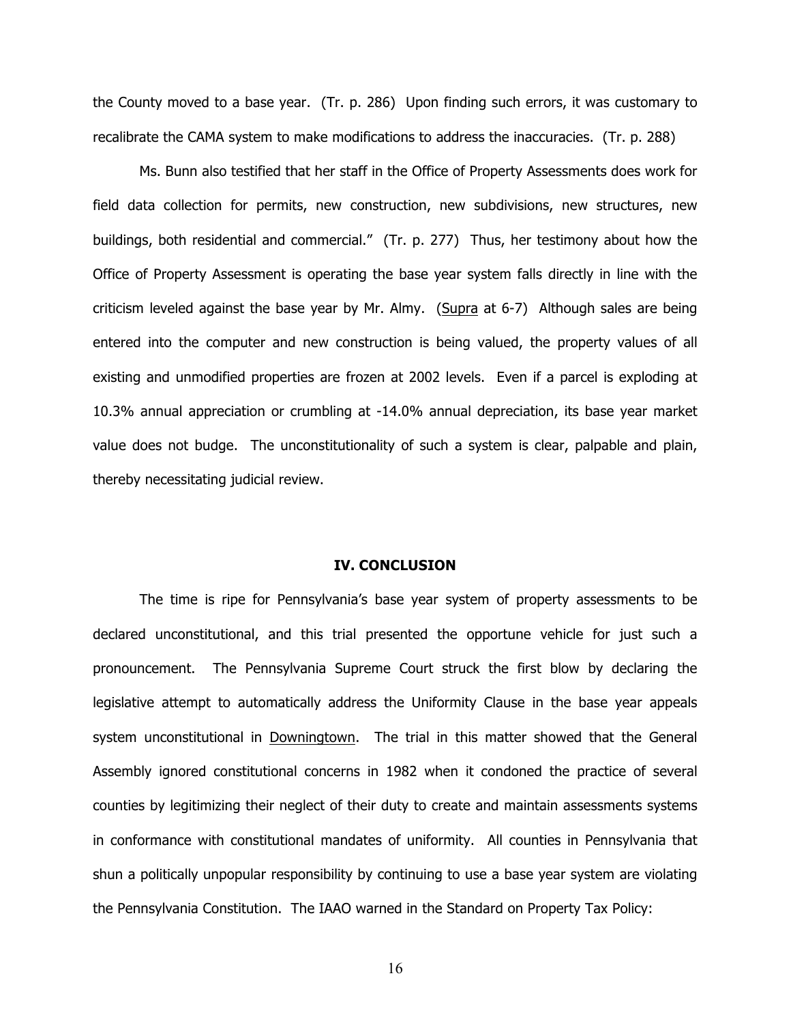the County moved to a base year. (Tr. p. 286) Upon finding such errors, it was customary to recalibrate the CAMA system to make modifications to address the inaccuracies. (Tr. p. 288)

Ms. Bunn also testified that her staff in the Office of Property Assessments does work for field data collection for permits, new construction, new subdivisions, new structures, new buildings, both residential and commercial." (Tr. p. 277) Thus, her testimony about how the Office of Property Assessment is operating the base year system falls directly in line with the criticism leveled against the base year by Mr. Almy. (Supra at 6-7) Although sales are being entered into the computer and new construction is being valued, the property values of all existing and unmodified properties are frozen at 2002 levels. Even if a parcel is exploding at 10.3% annual appreciation or crumbling at -14.0% annual depreciation, its base year market value does not budge. The unconstitutionality of such a system is clear, palpable and plain, thereby necessitating judicial review.

### **IV. CONCLUSION**

The time is ripe for Pennsylvania's base year system of property assessments to be declared unconstitutional, and this trial presented the opportune vehicle for just such a pronouncement. The Pennsylvania Supreme Court struck the first blow by declaring the legislative attempt to automatically address the Uniformity Clause in the base year appeals system unconstitutional in Downingtown. The trial in this matter showed that the General Assembly ignored constitutional concerns in 1982 when it condoned the practice of several counties by legitimizing their neglect of their duty to create and maintain assessments systems in conformance with constitutional mandates of uniformity. All counties in Pennsylvania that shun a politically unpopular responsibility by continuing to use a base year system are violating the Pennsylvania Constitution. The IAAO warned in the Standard on Property Tax Policy: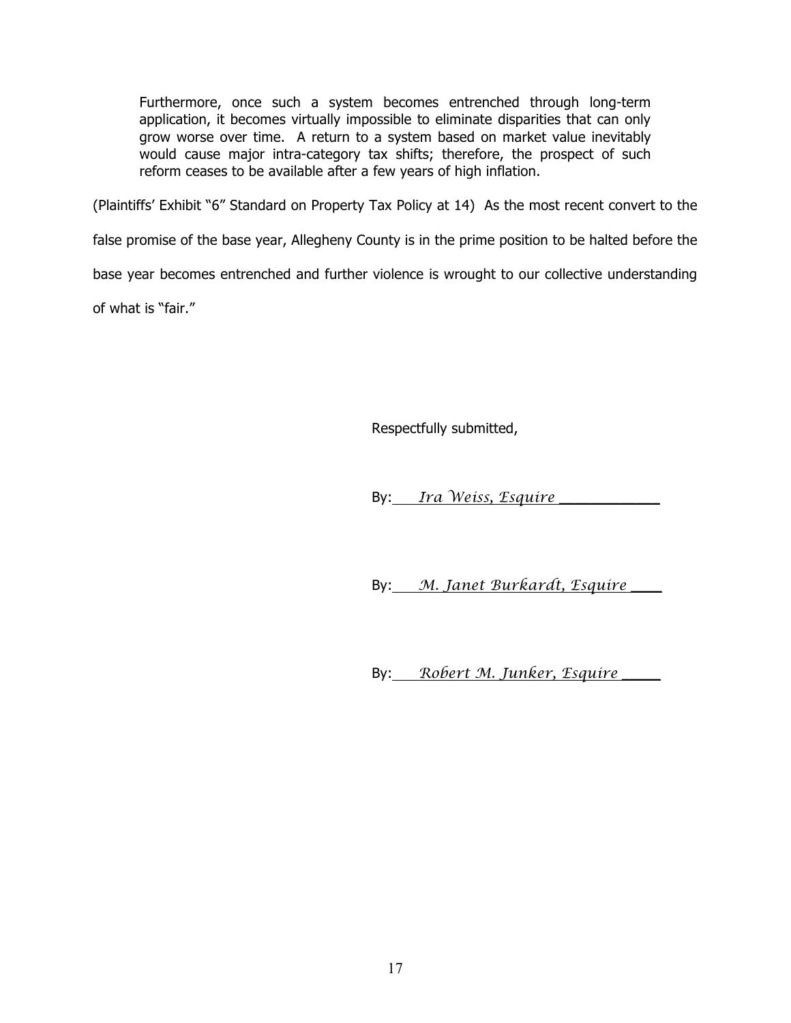Furthermore, once such a system becomes entrenched through long-term application, it becomes virtually impossible to eliminate disparities that can only grow worse over time. A return to a system based on market value inevitably would cause major intra-category tax shifts; therefore, the prospect of such reform ceases to be available after a few years of high inflation.

(Plaintiffs' Exhibit "6" Standard on Property Tax Policy at 14) As the most recent convert to the

false promise of the base year, Allegheny County is in the prime position to be halted before the

base year becomes entrenched and further violence is wrought to our collective understanding

of what is "fair."

Respectfully submitted,

By: *Ira Weiss, Esquire* \_\_\_\_\_\_\_\_\_\_\_\_\_

By: *M. Janet Burkardt, Esquire* \_\_\_\_

By: *Robert M. Junker, Esquire* \_\_\_\_\_